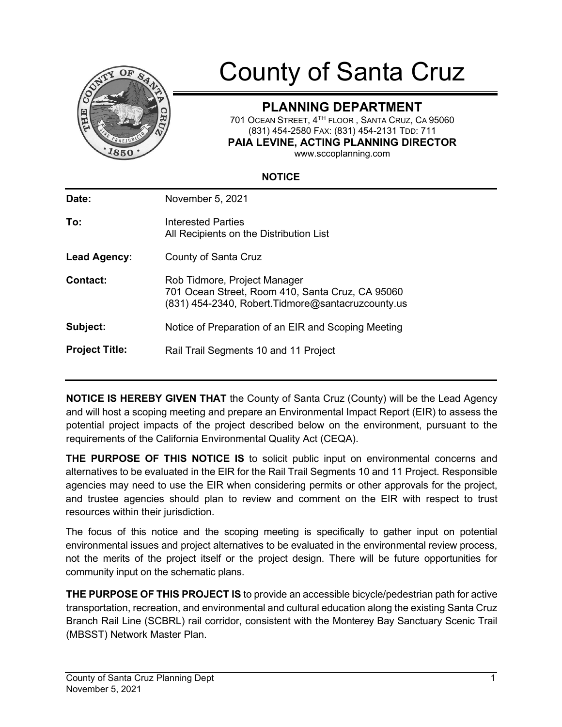

# County of Santa Cruz

## **PLANNING DEPARTMENT**

701 OCEAN STREET, 4TH FLOOR , SANTA CRUZ, CA 95060 (831) 454-2580 FAX: (831) 454-2131 TDD: 711 **PAIA LEVINE, ACTING PLANNING DIRECTOR**

www.sccoplanning.com

#### **NOTICE**

| Date:                 | November 5, 2021                                                                                                                       |
|-----------------------|----------------------------------------------------------------------------------------------------------------------------------------|
| To:                   | Interested Parties<br>All Recipients on the Distribution List                                                                          |
| Lead Agency:          | County of Santa Cruz                                                                                                                   |
| Contact:              | Rob Tidmore, Project Manager<br>701 Ocean Street, Room 410, Santa Cruz, CA 95060<br>(831) 454-2340, Robert. Tidmore@santacruzcounty.us |
| Subject:              | Notice of Preparation of an EIR and Scoping Meeting                                                                                    |
| <b>Project Title:</b> | Rail Trail Segments 10 and 11 Project                                                                                                  |
|                       |                                                                                                                                        |

**NOTICE IS HEREBY GIVEN THAT** the County of Santa Cruz (County) will be the Lead Agency and will host a scoping meeting and prepare an Environmental Impact Report (EIR) to assess the potential project impacts of the project described below on the environment, pursuant to the requirements of the California Environmental Quality Act (CEQA).

**THE PURPOSE OF THIS NOTICE IS** to solicit public input on environmental concerns and alternatives to be evaluated in the EIR for the Rail Trail Segments 10 and 11 Project. Responsible agencies may need to use the EIR when considering permits or other approvals for the project, and trustee agencies should plan to review and comment on the EIR with respect to trust resources within their jurisdiction.

The focus of this notice and the scoping meeting is specifically to gather input on potential environmental issues and project alternatives to be evaluated in the environmental review process, not the merits of the project itself or the project design. There will be future opportunities for community input on the schematic plans.

**THE PURPOSE OF THIS PROJECT IS** to provide an accessible bicycle/pedestrian path for active transportation, recreation, and environmental and cultural education along the existing Santa Cruz Branch Rail Line (SCBRL) rail corridor, consistent with the Monterey Bay Sanctuary Scenic Trail (MBSST) Network Master Plan.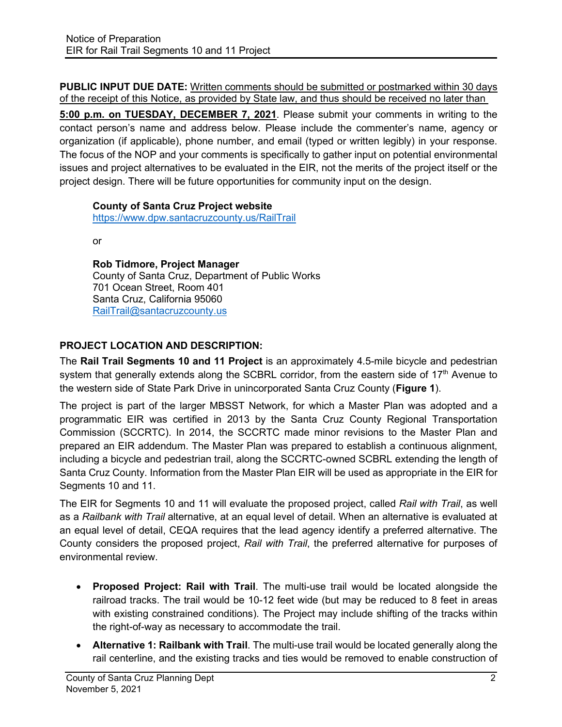**PUBLIC INPUT DUE DATE:** Written comments should be submitted or postmarked within 30 days of the receipt of this Notice, as provided by State law, and thus should be received no later than

**5:00 p.m. on TUESDAY, DECEMBER 7, 2021**. Please submit your comments in writing to the contact person's name and address below. Please include the commenter's name, agency or organization (if applicable), phone number, and email (typed or written legibly) in your response. The focus of the NOP and your comments is specifically to gather input on potential environmental issues and project alternatives to be evaluated in the EIR, not the merits of the project itself or the project design. There will be future opportunities for community input on the design.

### **County of Santa Cruz Project website**

<https://www.dpw.santacruzcounty.us/RailTrail>

or

**Rob Tidmore, Project Manager** County of Santa Cruz, Department of Public Works 701 Ocean Street, Room 401 Santa Cruz, California 95060 [RailTrail@santacruzcounty.us](mailto:RailTrail@santacruzcounty.us)

## **PROJECT LOCATION AND DESCRIPTION:**

The **Rail Trail Segments 10 and 11 Project** is an approximately 4.5-mile bicycle and pedestrian system that generally extends along the SCBRL corridor, from the eastern side of 17<sup>th</sup> Avenue to the western side of State Park Drive in unincorporated Santa Cruz County (**Figure 1**).

The project is part of the larger MBSST Network, for which a Master Plan was adopted and a programmatic EIR was certified in 2013 by the Santa Cruz County Regional Transportation Commission (SCCRTC). In 2014, the SCCRTC made minor revisions to the Master Plan and prepared an EIR addendum. The Master Plan was prepared to establish a continuous alignment, including a bicycle and pedestrian trail, along the SCCRTC-owned SCBRL extending the length of Santa Cruz County. Information from the Master Plan EIR will be used as appropriate in the EIR for Segments 10 and 11.

The EIR for Segments 10 and 11 will evaluate the proposed project, called *Rail with Trail*, as well as a *Railbank with Trail* alternative, at an equal level of detail. When an alternative is evaluated at an equal level of detail, CEQA requires that the lead agency identify a preferred alternative. The County considers the proposed project, *Rail with Trail*, the preferred alternative for purposes of environmental review.

- **Proposed Project: Rail with Trail**. The multi-use trail would be located alongside the railroad tracks. The trail would be 10-12 feet wide (but may be reduced to 8 feet in areas with existing constrained conditions). The Project may include shifting of the tracks within the right-of-way as necessary to accommodate the trail.
- **Alternative 1: Railbank with Trail**. The multi-use trail would be located generally along the rail centerline, and the existing tracks and ties would be removed to enable construction of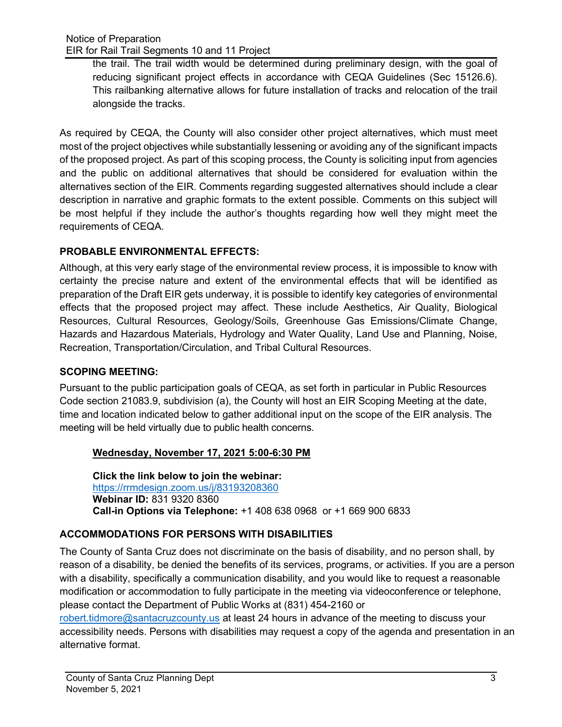the trail. The trail width would be determined during preliminary design, with the goal of reducing significant project effects in accordance with CEQA Guidelines (Sec 15126.6). This railbanking alternative allows for future installation of tracks and relocation of the trail alongside the tracks.

As required by CEQA, the County will also consider other project alternatives, which must meet most of the project objectives while substantially lessening or avoiding any of the significant impacts of the proposed project. As part of this scoping process, the County is soliciting input from agencies and the public on additional alternatives that should be considered for evaluation within the alternatives section of the EIR. Comments regarding suggested alternatives should include a clear description in narrative and graphic formats to the extent possible. Comments on this subject will be most helpful if they include the author's thoughts regarding how well they might meet the requirements of CEQA.

## **PROBABLE [ENVIRONMENTAL E](http://www.sccoplanning.com/PlanningHome/Environmental/CEQAInitialStudiesEIRs/CannabisRegulationsEnvironmentalReview.aspx)FFECTS:**

Although, at this very early stage of the environmental review process, it is impossible to know with certainty the precise nature and extent of the environmental effects that will be identified as preparation of the Draft EIR gets underway, it is possible to identify key categories of environmental effects that the proposed project may affect. These include Aesthetics, Air Quality, Biological Resources, Cultural Resources, Geology/Soils, Greenhouse Gas Emissions/Climate Change, Hazards and Hazardous Materials, Hydrology and Water Quality, Land Use and Planning, Noise, Recreation, Transportation/Circulation, and Tribal Cultural Resources.

### **SCOPING MEETING:**

Pursuant to the public participation goals of CEQA, as set forth in particular in Public Resources Code section 21083.9, subdivision (a), the County will host an EIR Scoping Meeting at the date, time and location indicated below to gather additional input on the scope of the EIR analysis. The meeting will be held virtually due to public health concerns.

### **Wednesday, November 17, 2021 5:00-6:30 PM**

**Click the link below to join the webinar:** <https://rrmdesign.zoom.us/j/83193208360> **Webinar ID:** 831 9320 8360 **Call-in Options via Telephone:** +1 408 638 0968 or +1 669 900 6833

## **ACCOMMODATIONS FOR PERSONS WITH DISABILITIES**

The County of Santa Cruz does not discriminate on the basis of disability, and no person shall, by reason of a disability, be denied the benefits of its services, programs, or activities. If you are a person with a disability, specifically a communication disability, and you would like to request a reasonable modification or accommodation to fully participate in the meeting via videoconference or telephone, please contact the Department of Public Works at (831) 454-2160 or

[robert.tidmore@santacruzcounty.us](mailto:robert.tidmore@santacruzcounty.us) at least 24 hours in advance of the meeting to discuss your accessibility needs. Persons with disabilities may request a copy of the agenda and presentation in an alternative format.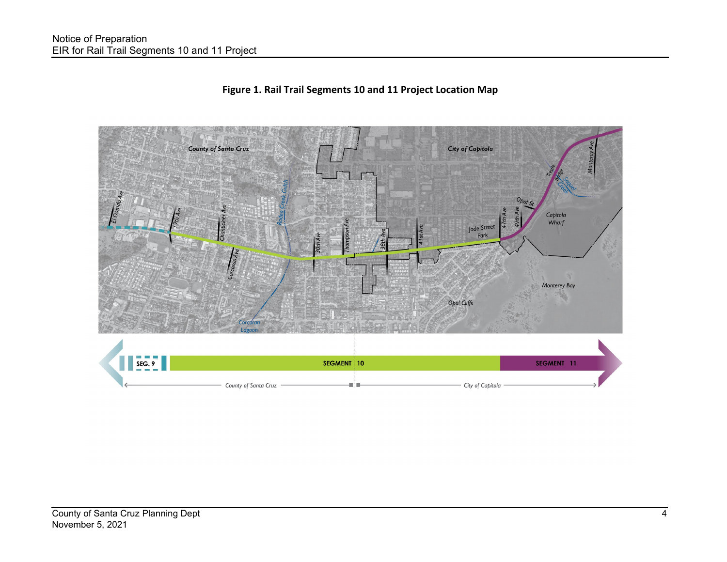